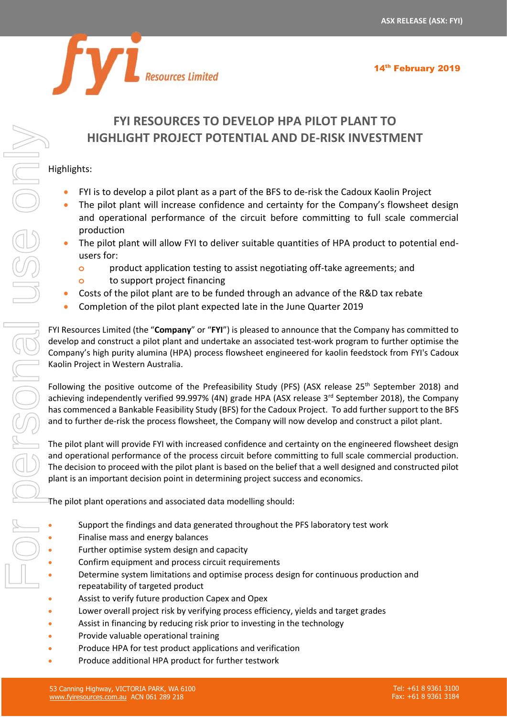

# Resources Limited

# **FYI RESOURCES TO DEVELOP HPA PILOT PLANT TO HIGHLIGHT PROJECT POTENTIAL AND DE-RISK INVESTMENT**

## Highlights:

- FYI is to develop a pilot plant as a part of the BFS to de-risk the Cadoux Kaolin Project
- The pilot plant will increase confidence and certainty for the Company's flowsheet design and operational performance of the circuit before committing to full scale commercial production
- The pilot plant will allow FYI to deliver suitable quantities of HPA product to potential endusers for:
	- **o** product application testing to assist negotiating off-take agreements; and
	- **o** to support project financing
- Costs of the pilot plant are to be funded through an advance of the R&D tax rebate
- Completion of the pilot plant expected late in the June Quarter 2019

FYI Resources Limited (the "**Company**" or "**FYI**") is pleased to announce that the Company has committed to develop and construct a pilot plant and undertake an associated test-work program to further optimise the Company's high purity alumina (HPA) process flowsheet engineered for kaolin feedstock from FYI's Cadoux Kaolin Project in Western Australia.

Following the positive outcome of the Prefeasibility Study (PFS) (ASX release 25<sup>th</sup> September 2018) and achieving independently verified 99.997% (4N) grade HPA (ASX release 3<sup>rd</sup> September 2018), the Company has commenced a Bankable Feasibility Study (BFS) for the Cadoux Project. To add further support to the BFS and to further de-risk the process flowsheet, the Company will now develop and construct a pilot plant.

The pilot plant will provide FYI with increased confidence and certainty on the engineered flowsheet design and operational performance of the process circuit before committing to full scale commercial production. The decision to proceed with the pilot plant is based on the belief that a well designed and constructed pilot plant is an important decision point in determining project success and economics.

The pilot plant operations and associated data modelling should:

- Support the findings and data generated throughout the PFS laboratory test work
- Finalise mass and energy balances
- Further optimise system design and capacity
- Confirm equipment and process circuit requirements
- Determine system limitations and optimise process design for continuous production and repeatability of targeted product
- Assist to verify future production Capex and Opex
- Lower overall project risk by verifying process efficiency, yields and target grades
- Assist in financing by reducing risk prior to investing in the technology
- Provide valuable operational training
- Produce HPA for test product applications and verification
-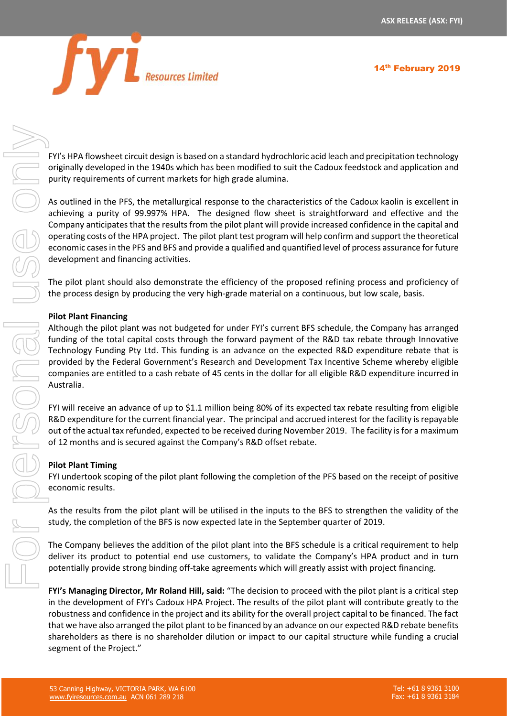

14<sup>th</sup> February 2019

FYI's HPA flowsheet circuit design is based on a standard hydrochloric acid leach and precipitation technology originally developed in the 1940s which has been modified to suit the Cadoux feedstock and application and purity requirements of current markets for high grade alumina.

As outlined in the PFS, the metallurgical response to the characteristics of the Cadoux kaolin is excellent in achieving a purity of 99.997% HPA. The designed flow sheet is straightforward and effective and the Company anticipates that the results from the pilot plant will provide increased confidence in the capital and operating costs of the HPA project. The pilot plant test program will help confirm and support the theoretical economic cases in the PFS and BFS and provide a qualified and quantified level of process assurance for future development and financing activities.

The pilot plant should also demonstrate the efficiency of the proposed refining process and proficiency of the process design by producing the very high-grade material on a continuous, but low scale, basis.

### **Pilot Plant Financing**

Although the pilot plant was not budgeted for under FYI's current BFS schedule, the Company has arranged funding of the total capital costs through the forward payment of the R&D tax rebate through Innovative Technology Funding Pty Ltd. This funding is an advance on the expected R&D expenditure rebate that is provided by the Federal Government's Research and Development Tax Incentive Scheme whereby eligible companies are entitled to a cash rebate of 45 cents in the dollar for all eligible R&D expenditure incurred in Australia.

FYI will receive an advance of up to \$1.1 million being 80% of its expected tax rebate resulting from eligible R&D expenditure for the current financial year. The principal and accrued interest for the facility is repayable out of the actual tax refunded, expected to be received during November 2019. The facility is for a maximum of 12 months and is secured against the Company's R&D offset rebate.

### **Pilot Plant Timing**

FYI undertook scoping of the pilot plant following the completion of the PFS based on the receipt of positive economic results.

As the results from the pilot plant will be utilised in the inputs to the BFS to strengthen the validity of the study, the completion of the BFS is now expected late in the September quarter of 2019.

The Company believes the addition of the pilot plant into the BFS schedule is a critical requirement to help deliver its product to potential end use customers, to validate the Company's HPA product and in turn potentially provide strong binding off-take agreements which will greatly assist with project financing.

**FYI's Managing Director, Mr Roland Hill, said:** "The decision to proceed with the pilot plant is a critical step in the development of FYI's Cadoux HPA Project. The results of the pilot plant will contribute greatly to the robustness and confidence in the project and its ability for the overall project capital to be financed. The fact that we have also arranged the pilot plant to be financed by an advance on our expected R&D rebate benefits shareholders as there is no shareholder dilution or impact to our capital structure while funding a crucial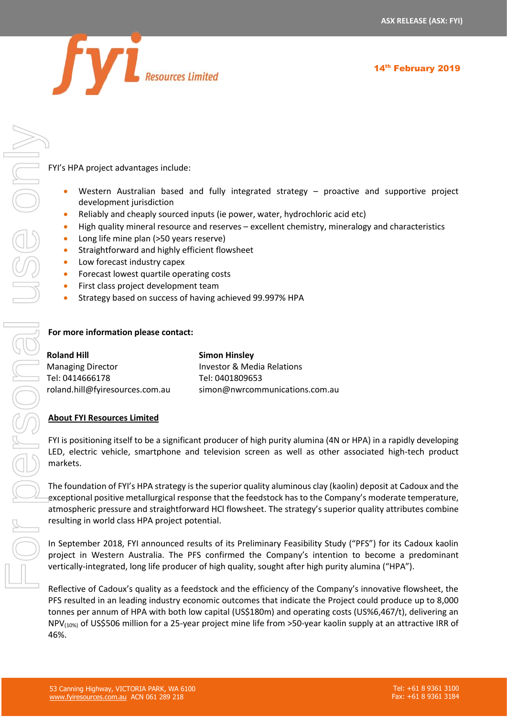14<sup>th</sup> February 2019



FYI's HPA project advantages include:

- Western Australian based and fully integrated strategy proactive and supportive project development jurisdiction
- Reliably and cheaply sourced inputs (ie power, water, hydrochloric acid etc)
- High quality mineral resource and reserves excellent chemistry, mineralogy and characteristics
- Long life mine plan (>50 years reserve)
- Straightforward and highly efficient flowsheet
- Low forecast industry capex
- Forecast lowest quartile operating costs
- First class project development team
- Strategy based on success of having achieved 99.997% HPA

### **For more information please contact:**

| <b>Roland Hill</b>              | <b>Simon Hinsley</b>           |
|---------------------------------|--------------------------------|
| <b>Managing Director</b>        | Investor & Media Relations     |
| Tel: 0414666178                 | Tel: 0401809653                |
| roland.hill@fyiresources.com.au | simon@nwrcommunications.com.au |

### **About FYI Resources Limited**

FYI is positioning itself to be a significant producer of high purity alumina (4N or HPA) in a rapidly developing LED, electric vehicle, smartphone and television screen as well as other associated high-tech product markets.

The foundation of FYI's HPA strategy is the superior quality aluminous clay (kaolin) deposit at Cadoux and the exceptional positive metallurgical response that the feedstock has to the Company's moderate temperature, atmospheric pressure and straightforward HCl flowsheet. The strategy's superior quality attributes combine resulting in world class HPA project potential.

In September 2018, FYI announced results of its Preliminary Feasibility Study ("PFS") for its Cadoux kaolin project in Western Australia. The PFS confirmed the Company's intention to become a predominant vertically-integrated, long life producer of high quality, sought after high purity alumina ("HPA").

Reflective of Cadoux's quality as a feedstock and the efficiency of the Company's innovative flowsheet, the PFS resulted in an leading industry economic outcomes that indicate the Project could produce up to 8,000 tonnes per annum of HPA with both low capital (US\$180m) and operating costs (US%6,467/t), delivering an NPV(10%) of US\$506 million for a 25-year project mine life from >50-year kaolin supply at an attractive IRR of 46%.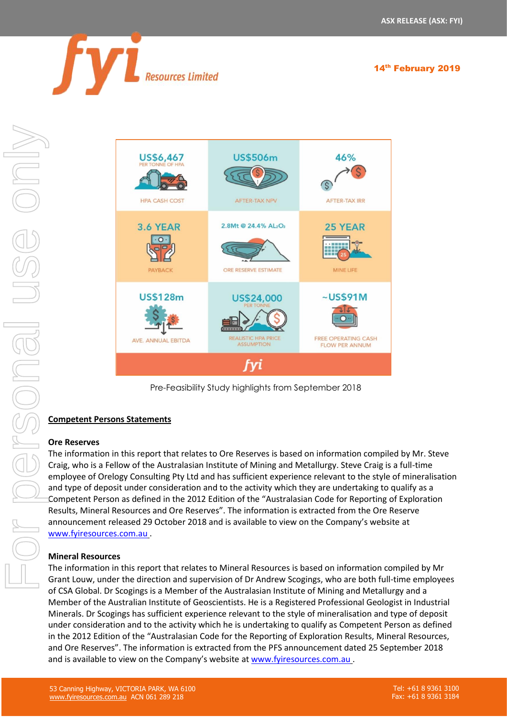



Pre-Feasibility Study highlights from September 2018

### **Competent Persons Statements**

### **Ore Reserves**

The information in this report that relates to Ore Reserves is based on information compiled by Mr. Steve Craig, who is a Fellow of the Australasian Institute of Mining and Metallurgy. Steve Craig is a full-time employee of Orelogy Consulting Pty Ltd and has sufficient experience relevant to the style of mineralisation and type of deposit under consideration and to the activity which they are undertaking to qualify as a Competent Person as defined in the 2012 Edition of the "Australasian Code for Reporting of Exploration Results, Mineral Resources and Ore Reserves". The information is extracted from the Ore Reserve announcement released 29 October 2018 and is available to view on the Company's website at [www.fyiresources.com.au](http://www.fyiresources.com.au/) .

### **Mineral Resources**

The information in this report that relates to Mineral Resources is based on information compiled by Mr Grant Louw, under the direction and supervision of Dr Andrew Scogings, who are both full-time employees of CSA Global. Dr Scogings is a Member of the Australasian Institute of Mining and Metallurgy and a Member of the Australian Institute of Geoscientists. He is a Registered Professional Geologist in Industrial Minerals. Dr Scogings has sufficient experience relevant to the style of mineralisation and type of deposit under consideration and to the activity which he is undertaking to qualify as Competent Person as defined in the 2012 Edition of the "Australasian Code for the Reporting of Exploration Results, Mineral Resources, and Ore Reserves". The information is extracted from the PFS announcement dated 25 September 2018 and is available to view on the Company's website at [www.fyiresources.com.au](http://www.fyiresources.com.au/) .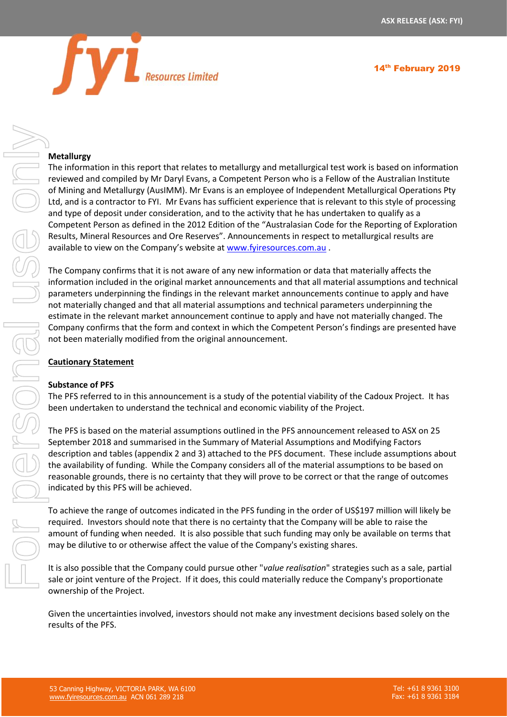

### **Metallurgy**

The information in this report that relates to metallurgy and metallurgical test work is based on information reviewed and compiled by Mr Daryl Evans, a Competent Person who is a Fellow of the Australian Institute of Mining and Metallurgy (AusIMM). Mr Evans is an employee of Independent Metallurgical Operations Pty Ltd, and is a contractor to FYI. Mr Evans has sufficient experience that is relevant to this style of processing and type of deposit under consideration, and to the activity that he has undertaken to qualify as a Competent Person as defined in the 2012 Edition of the "Australasian Code for the Reporting of Exploration Results, Mineral Resources and Ore Reserves". Announcements in respect to metallurgical results are available to view on the Company's website at [www.fyiresources.com.au](http://www.fyiresources.com.au/) .

The Company confirms that it is not aware of any new information or data that materially affects the information included in the original market announcements and that all material assumptions and technical parameters underpinning the findings in the relevant market announcements continue to apply and have not materially changed and that all material assumptions and technical parameters underpinning the estimate in the relevant market announcement continue to apply and have not materially changed. The Company confirms that the form and context in which the Competent Person's findings are presented have not been materially modified from the original announcement.

### **Cautionary Statement**

### **Substance of PFS**

The PFS referred to in this announcement is a study of the potential viability of the Cadoux Project. It has been undertaken to understand the technical and economic viability of the Project.

The PFS is based on the material assumptions outlined in the PFS announcement released to ASX on 25 September 2018 and summarised in the Summary of Material Assumptions and Modifying Factors description and tables (appendix 2 and 3) attached to the PFS document. These include assumptions about the availability of funding. While the Company considers all of the material assumptions to be based on reasonable grounds, there is no certainty that they will prove to be correct or that the range of outcomes indicated by this PFS will be achieved.

To achieve the range of outcomes indicated in the PFS funding in the order of US\$197 million will likely be required. Investors should note that there is no certainty that the Company will be able to raise the amount of funding when needed. It is also possible that such funding may only be available on terms that may be dilutive to or otherwise affect the value of the Company's existing shares.

It is also possible that the Company could pursue other "*value realisation*" strategies such as a sale, partial sale or joint venture of the Project. If it does, this could materially reduce the Company's proportionate ownership of the Project.

Given the uncertainties involved, investors should not make any investment decisions based solely on the